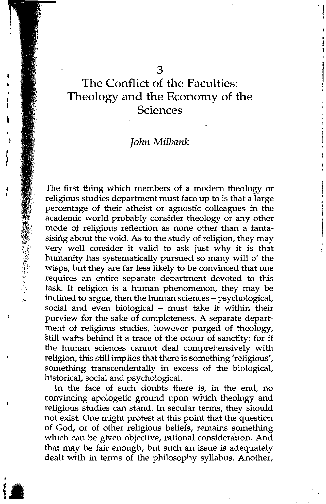# The Conflict of the Faculties: Theology and the Economy of the Sciences

ì ł

情報の過去の あんしょう にん

# *John Milbank*

The first thing which members of a modern theology or religious studies department must face up to is that a large percentage of their atheist or agnostic colleagues in the academic world probably consider theology or any other mode of religious reflection as none other than a fantasising about the void. As to the study of religion, they may very well consider it valid to ask just why it is that humanity has systematically pursued so many will o' the wisps, but they are far less likely to be convinced that one requires an entire separate department devoted to this task. If religion is a human phenomenon, they may be inclined to argue, then the human sciences – psychological, social and even biological - must take it within their purview for the sake of completeness. A separate department of religious studies, however purged of theology, still wafts behind it a trace of the odour of sanctity: for if the human sciences cannot deal comprehensively with religion, this still implies that there is something 'religious', something transcendentally in excess of the biological, historical, social and psychological.

In the face of such doubts there is, in the end, no convincing apologetic ground upon which theology and religious studies can stand. In secular terms, they should not exist. One might protest at this point that the question of God, or of other religious beliefs, remains something which can be given objective, rational consideration. And that may be fair enough, but such an issue is adequately dealt with in terms of the philosophy syllabus. Another,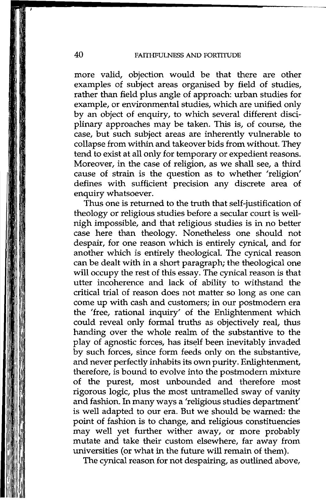more valid, objection would be that there are other examples of subject areas organised by field of studies, rather than field plus angle of approach: urban studies for example, or environmental studies, which are unified only by an object of enquiry, to which several different disciplinary approaches may be taken. This is, of course, the case, but such subject areas are inherently vulnerable to collapse from within and takeover bids from without. They tend to exist at all only for temporary or expedient reasons. Moreover, in the case of religion, as we shall see, a third cause of strain is the question as to whether 'religion' defines with sufficient precision any discrete area of enquiry whatsoever.

Thus one is returned to the truth that self-justification of theology or religious studies before a secular court is wellnigh impossible, and that religious studies is in no better case here than theology. Nonetheless one should not despair, for one reason which is entirely cynical, and for another which is entirely theological. The cynical reason can be dealt with in a short paragraph; the theological one will occupy the rest of this essay. The cynical reason is that utter incoherence and lack of ability to withstand the critical trial of reason does not matter so long as one can come up with cash and customers; in our postmodern era the 'free, rational inquiry' of the Enlightenment which could reveal only formal truths as objectively real, thus handing over the whole realm of the substantive to the play of agnostic forces, has itself been inevitably invaded by such forces, since form feeds only on the substantive, and never perfectly inhabits its own purity. Enlightenment, therefore, is bound to evolve into the postmodern mixture of the purest, most unbounded and therefore most rigorous logic, plus the most untramelled sway of vanity and fashion. In many ways a 'religious studies department' is well adapted to our era. But we should be warned: the point of fashion is to change, and religious constituencies may well yet further wither away, or more probably mutate and take their custom elsewhere, far away from universities (or what in the future will remain of them).

The cynical reason for not despairing, as outlined above,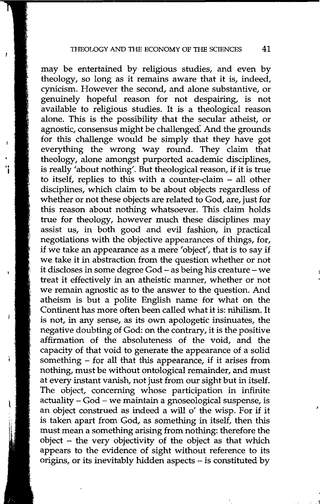may be entertained by religious studies, and even by theology, so long as it remains aware that it is, indeed, cynicism. However the second, and alone substantive, or genuinely hopeful reason for not despairing, is not available to religious studies. It is a theological reason alone. This is the possibility that the secular atheist, or agnostic, consensus might be challenged: And the grounds for this challenge would be simply that they have got everything the wrong way round. They claim that theology, alone amongst purported academic disciplines, is really 'about nothing'. But theological reason, if it is true to itself, replies to this with a counter-claim - all other disciplines, which claim to be about objects regardless of whether or not these objects are related to God, are, just for this reason about nothing whatsoever. This claim holds true for theology, however much these disciplines may assist us, in both good and evil fashion, in practical negotiations with the objective appearances of things, for, if we take an appearance as a mere 'object', that is to say if we take it in abstraction from the question whether or not it discloses in some degree God - as being his creature - we treat it effectively in an atheistic manner, whether or not we remain agnostic as to the answer to the question. And atheism is but a polite English name for what on the Continent has more often been called what it is: nihilism. It is not, in any sense, as its own apologetic insinuates, the negative doubting of God: on the contrary, it is the positive affirmation of the absoluteness of the void, and the capacity of that void to generate the appearance of a solid something – for all that this appearance, if it arises from nothing, must be without ontological remainder, and must at every instant vanish, not just from our sight but in itself. The object, concerning whose participation in infinite actuality - God - we maintain a gnoseological suspense, is an object construed as indeed a will o' the wisp. For if it is taken apart from God, as something in itself, then this must mean a something arising from nothing: therefore the object  $-$  the very objectivity of the object as that which appears to the evidence of sight without reference to its origins, or its inevitably hidden aspects - is constituted by

.11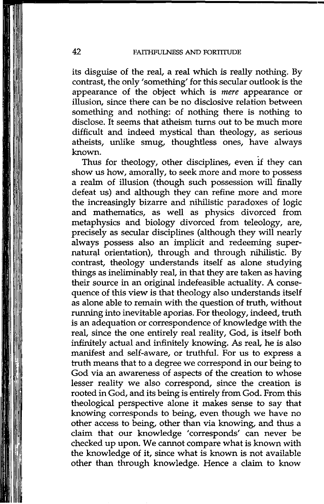--------------------------------

its disguise of the real, a real which is really nothing. By contrast, the only 'something' for this secular outlook is the appearance of the object which is *mere* appearance or illusion, since there can be no disclosive relation between something and nothing: of nothing there is nothing to disclose. It seems that atheism turns out to be much more difficult and indeed mystical than theology, as serious atheists, unlike smug, thoughtless ones, have always known.

Thus for theology, other disciplines, even if they can show us how, amorally, to seek more and more to possess a realm of illusion (though such possession will finally defeat us) and although they can refine more and more the increasingly bizarre and nihilistic paradoxes of logic and mathematics, as well as physics divorced from metaphysics and biology divorced from teleology, are, precisely as secular disciplines (although they will nearly always possess also an implicit and redeeming supernatural orientation), through and through nihilistic. By contrast, theology understands itself as alone studying things as ineliminably real, in that they are taken as having their source in an original indefeasible actuality. A consequence of this view is that theology also understands itself as alone able to remain with the question of truth, without running into inevitable aporias. For theology, indeed, truth is an adequation or correspondence of knowledge with the real, since the one entirely real reality, God, is itself both infinitely actual and infinitely knowing. As real, he is also manifest and self-aware, or truthful. For us to express a truth means that to a degree we correspond in our being to God via an awareness of aspects of the creation to whose lesser reality we also correspond, since the creation is rooted in God, and its being is entirely from God. From this theological perspective alone it makes sense to say that knowing corresponds to being, even though we have no other access to being, other than via knowing, and thus a claim that our knowledge 'corresponds' can never be checked up upon. We cannot compare what is known with the knowledge of it, since what is known is not available other than through knowledge. Hence a claim to know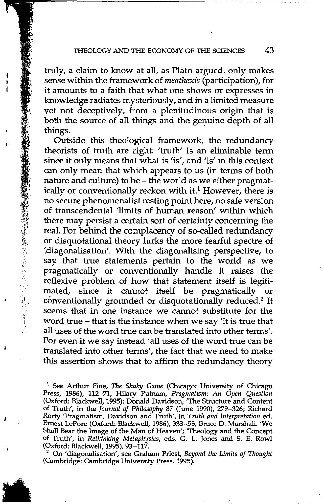truly, a claim to know at all, as Plato argued, only makes sense within the framework of *meathexis* (participation), for it.amounts to a faith that what one shows or expresses in knowledge radiates mysteriously, and in a limited measure yet not deceptively, from a plenitudinous origin that is both the source of all things and the genuine depth of all things.

Outside this theological framework, the redundancy theorists of truth are right: 'truth' is an eliminable term since it only means that what is 'is', and 'is' in this context can only mean that which appears to us (in terms of both nature and culture) to be - the world as we either pragmatically or conventionally reckon with it.<sup>1</sup> However, there is no secure phenomenalist resting point here, no safe version of transcendental 'limits of human reason' within which there may persist a certain sort of certainty concerning the real. For behind the complacency of so-called redundancy or disquotational theory lurks the more fearful spectre of ~diagonalisation'. With the diagonalising perspective, to say. that true statements pertain to the world as we pragmatically or conventionally handle it raises the reflexive problem of how that statement itself is legitimated, since it cannot itself be pragmatically or conventionally grounded or disquotationally reduced.<sup>2</sup> It seems that in one instance we cannot substitute for the word true - that is the instance when we say 'it is true that all uses of the word true can be translated into other terms'. For even if we say instead 'all uses of the word true can be translated into other terms', the fact that we need to make this assertion shows that to affirm the redundancy theory

,-,  $\mathbf{g}$  $1/\sqrt{2}$ 

**のことを、このことには、このことには、このことに、このことに、このことに、このことに、このことに、このことに、このことに、このことに、このことに、このことに、このことに、このことに、このことに、このことに、このことに、このことに、このことに、このことに、このことに、このことに、このことに、このことに、このことに、このことに、このことに、このことに、このことに、このことに、このことに、このことに、このことに、このことに、このことに、こ** 

.. <sup>2</sup> On 'diagonalisation', see Graham Priest, *Beyond the Limits of Thought* (Cambridge: Cambridge University Press, 1995) .

<sup>1</sup> See Arthur Fine, *The Shaky Game* (Chicago: University of Chicago Press, 1986), 112-71; Hilary Putnam, *Pragmatism: An Open Question*  (Oxford: Blackwell, 1995); Donald Davidson, 'The Structure and Content of Truth', in the *Journal of Philosophy* 87 (June 1990), 279-326; Richard Rorty 'Pragmatism, Davidson and Truth', in *Truth and Interpretation* ed. Ernest LePore (Oxford: Blackwell, 1986), 333-55; Bruce D. Marshall. 'We Shall Bear the Image of the Man of Heaven'; 'Theology and the Concept of Truth', in *Rethinking Metaphysics,* eds. G. L. Jones and S. E. Rowl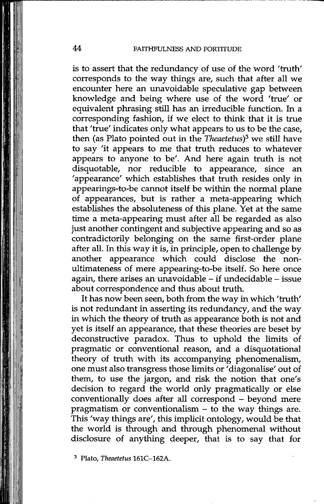is to assert that the redundancy of use of the word 'truth' corresponds to the way things are, such that after all we encounter here an unavoidable speculative gap between knowledge and being where use of the word 'true' or equivalent phrasing still has an irreducible function. In a corresponding fashion, if we elect to think that it is true that 'true' indicates only what appears to us to be the case, then (as Plato pointed out in the *Theaetetus)* <sup>3</sup>we still have to say 'it appears to me that truth reduces to whatever appears to anyone to be'. And here again truth is not disquotable, nor reducible to appearance, since an 'appearance' which establishes that truth resides only in appearings-to-be cannot itself be within the normal plane of appearances, but is rather a meta-appearing which establishes the absoluteness of this plane. Yet at the same time a meta-appearing must after all be regarded as also just another contingent and subjective appearing and so as contradictorily belonging on the same first-order plane after all. In this way it is, in principle, open to challenge by another appearance which could disclose the nonultimateness of mere appearing-to-be itself. So here once again, there arises an unavoidable  $-$  if undecidable  $-$  issue about correspondence and thus about truth.

It has now been seen, both from the way in which 'truth' is not redundant in asserting its redundancy, and the way in which the theory of truth as appearance both is not and yet is itself an appearance, that these theories are beset by deconstructive paradox. Thus to uphold the limits of pragmatic or conventional reason, and a disquotational theory of truth with its accompanying phenomenalism, one must also transgress those limits or 'diagonalise' out of them, to use the jargon, and risk the notion that one's decision to regard the world only pragmatically or else conventionally does after all correspond - beyond mere pragmatism or conventionalism  $-$  to the way things are. This 'way things are', this implicit ontology, would be that the world is through and through phenomenal without disclosure of anything deeper, that is to say that for

<sup>3</sup> Plato, *Theaetetus* 161C-162A.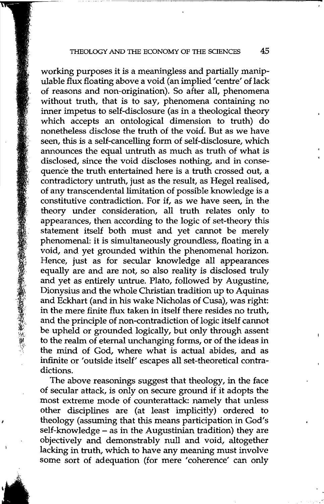#### THEOLOGY AND THE ECONOMY OF THE SCIENCES 45

working purposes it is a meaningless and partially manipulable flux floating above a void (an implied 'centre' of lack of reasons and non-origination). So after all, phenomena without truth, that is to say, phenomena containing no inner impetus to self-disclosure (as in a theological theory which accepts an ontological dimension to truth) do nonetheless disclose the truth of the void. But as we have seen, this is a self-cancelling form of self-disclosure, which announces the equal untruth as much as truth of what is disclosed, since the void discloses nothing, and in consequence the truth entertained here is a truth crossed out, a contradictory untruth, just as the result, as Hegel realised, of any transcendental limitation of possible knowledge is a constitutive contradiction. For if, as we have seen, in the theory under consideration, all truth relates only to appearances, then according to the logic of set-theory this statement itself both must and yet cannot be merely phenomenal: it is simultaneously groundless, floating in a void, and yet grounded within the phenomenal horizon. Hence, just as for secular knowledge all appearances equally are and are not, so also reality is disclosed truly and yet as entirely untrue. Plato, followed by Augustine, Dionysius and the whole Christian tradition up to Aquinas and Eckhart (and in his wake Nicholas of Cusa), was right: in the mere finite flux taken in itself there resides no truth, and the principle of non-contradiction of logic itself cannot be upheld or grounded logically, but only through assent to the realm of eternal unchanging forms, or of the ideas in the mind of God, where what is actual abides, and as infinite or 'outside itself' escapes all set-theoretical contradictions.

The above reasonings suggest that theology, in the face of secular attack, is only on secure ground if it adopts the most extreme mode of counterattack: namely that unless other disciplines are (at least implicitly) ordered to theology (assuming that this means participation in God's self-knowledge - as in the Augustinian tradition) they are objectively and demonstrably null and void, altogether lacking in truth, which to have any meaning must involve some sort of adequation (for mere 'coherence' can only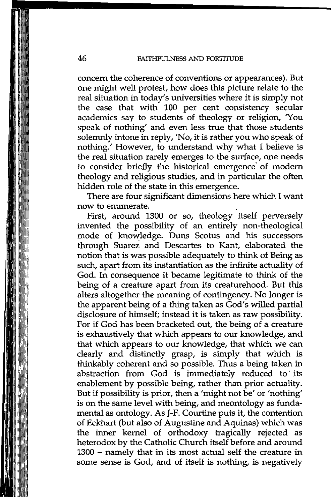concern the coherence of conventions or appearances). But one might well protest, how does this picture relate to the real situation in today's universities where it is simply not the case that with 100 per cent consistency secular academics say to students of theology or religion, 'You speak of nothing' and even less true that those students solemnly intone in reply, 'No, it is rather you who speak of nothing.' However, to understand why what I believe is the real situation rarely emerges to the surface, one needs to consider briefly the historical emergence of modern theology and religious studies, and in particular the often hidden role of the state in this emergence.

There are four significant dimensions here which I want now to enumerate. .

First, around 1300 or so, theology itself perversely invented the possibility of an entirely non-theologica mode of knowledge. Duns Scotus and his successors through Suarez and Descartes to Kant, elaborated the notion that is was possible adequately to think of Being as such, apart from its instantiation as the infinite actuality of God. In consequence it became legitimate to think of the being of a creature apart from its creaturehood. But this alters altogether the meaning of contingency. No longer is the apparent being of a thing taken as God's willed partial disclosure of himself; instead it is taken as raw possibility. For if God has been bracketed out, the being of a creature is exhaustively that which appears to our knowledge, and that which appears to our knowledge, that which we can clearly and distinctly grasp, is simply that which is thinkably coherent and so possible. Thus a being taken in abstraction from God is immediately reduced to its enablement by possible being, rather than prior actuality. But if possibility is prior, then a 'might not be' or 'nothing' is on the same level with being, and meontology as fundamental as ontology. As J-F. Courtine puts it, the contention of Eckhart (but also of Augustine and Aquinas) which was the inner kernel of orthodoxy tragically rejected as heterodox by the Catholic Church itself before and around 1300 - namely that in its most actual self the creature in some sense is God, and of itself is nothing, is negatively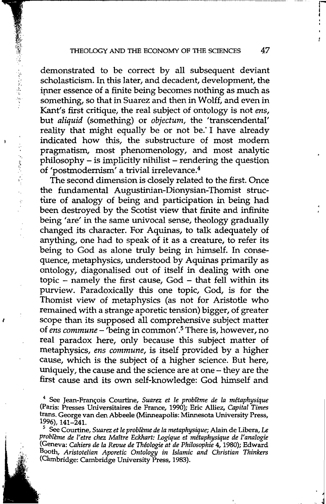r l 4

demonstrated to be correct by all subsequent deviant scholasticism. In this later, and decadent, development, the inner essence of a finite being becomes nothing as much as something, so that in Suarez and then in Wolff, and even in Kant's first critique, the real subject of ontology is not *ens,*  but *aliquid* (something) or *objectum,* the 'transcendental' reality that might equally be or not be." I have already indicated how this, the substructure of most modern pragmatism, most phenomenology, and most analytic  $p$ hilosophy – is implicitly nihilist – rendering the question of 'postmodernism' a trivial irrelevance. <sup>4</sup>

*:,*  ;,, '

医牙皮 医静态 医检查

The second dimension is closely related to the first. Once the fundamental Augustinian-Dionysian-Thomist structure of analogy of being and participation in being had been destroyed by the Scotist view that finite and infinite being 'are' in the same univocal sense, theology gradually changed its character. For Aquinas, to talk adequately of anything, one had to speak of it as a creature, to refer its being to God as alone truly being in himself. In consequence, metaphysics, understood by Aquinas primarily as ontology, diagonalised out of itself in dealing with one topic - namely the first cause, God - that fell within its purview. Paradoxically this one topic, God, is for the Thomist view of metaphysics (as not for Aristotle who remained with a strange aporetic tension) bigger, of greater scope than its supposed all comprehensive subject matter of *ens commune-'being* in common'. <sup>5</sup>There is, however, no real paradox here, only because this subject matter of metaphysics, *ens commune,* is itself provided by a higher cause, which is the subject of a higher science. But here, uniquely, the cause and the science are at one - they are the first cause and its own self-knowledge: God himself and

<sup>4</sup>See Jean-Frarn;ois Courtine, *Suarez et le probleme de la metaphysique*  (Paris: Presses Universitaires de France, 1990); Eric Alliez, *Capital Times*  trans. George van den Abbeele (Minneapolis: Minnesota University Press,

<sup>&</sup>lt;sup>5</sup> See Courtine, *Suarez et le problème de la metaphysique*; Alain de Libera, Le *probleme de* I' *etre chez Maitre Eckhart: Logique et metaphysique de* I' *analogie*  (Geneva: *Cahiers de la Revue de Theologie at de Philosophie* 4, 1980); Edward Booth, *Aristotelian Aporetic Ontology in Islamic and Christian Thinkers* (Cambridge: Cambridge University Press, 1983).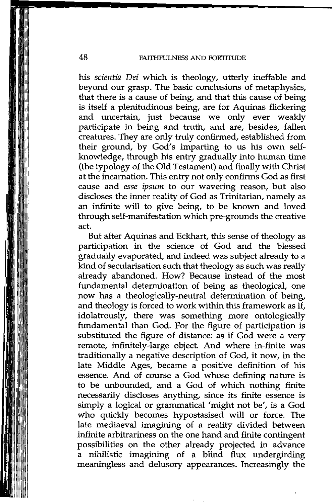#### 48 FAITHFULNESS AND FORTITUDE

his *scientia Dei* which is theology, utterly ineffable and beyond our grasp. The basic conclusions of metaphysics, that there is a cause of being, and that this cause of being is itself a plenitudinous being, are for Aquinas flickering and uncertain, just because we only ever weakly participate in being and truth, and are, besides, fallen creatures. They are only truly confirmed, established from their ground, by God's imparting to us his own selfknowledge, through his entry gradually into human time (the typology of the Old Testament) and finally with Christ at the incarnation. This entry not only confirms God as first cause and *esse ipsum* to our wavering reason, but also discloses the inner reality of God as Trinitarian, namely as an infinite will to give being, to be known and loved through self-manifestation which pre-grounds the creative act.

But after Aquinas and Eckhart, this sense of theology as participation in the science of God and the blessed gradually evaporated, and indeed was subject already to a kind of secularisation such that theology as such was really already abandoned. How? Because instead of the most fundamental determination of being as theological, one now has a theologically-neutral determination of being, and theology is forced to work within this framework as if, idolatrously, there was something more ontologically fundamental than God. For the figure of participation is substituted the figure of distance: as if God were a very remote, infinitely-large object. And where in-finite was traditionally a negative description of God, it now, in the late Middle Ages, became a positive definition of his essence. And of course a God whose defining nature is to be unbounded, and a God of which nothing finite necessarily discloses anything, since its finite essence is simply a logical or grammatical 'might not be', is a God who quickly becomes hypostasised will or force. The late mediaeval imagining of a reality divided between infinite arbitrariness on the one hand and finite contingent possibilities on the other already projected in advance a nihilistic imagining of a blind flux undergirding meaningless and delusory appearances. Increasingly the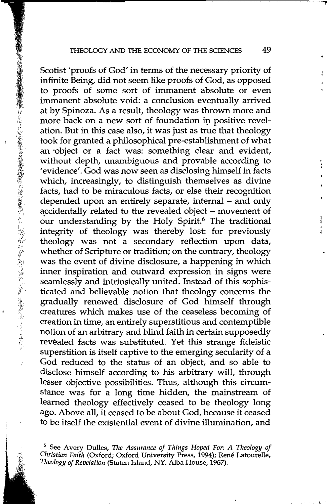#### THEOLOGY AND THE ECONOMY OF THE SCIENCES 49

Scotist 'proofs of God' in terms of the necessary priority of infinite Being, did not seem like proofs of God, as opposed to proofs of some sort of immanent absolute or even immanent absolute void: a conclusion eventually arrived at by Spinoza. As a result, theology was thrown more and more back on a new sort of foundation in positive revelation. But in this case also, it was just as true that theology took for granted a philosophical pre-establishment of what an ·object or a fact was: something clear and evident, without depth, unambiguous and provable according to 'evidence'. God was now seen as disclosing himself in facts which, increasingly, to distinguish themselves as divine facts, had to be miraculous facts, or else their recognition depended upon an entirely separate, internal – and only accidentally related to the revealed object - movement of our understanding by the Holy Spirit.<sup>6</sup> The traditional integrity of theology was thereby lost: for previously theology was not a secondary reflection upon data, whether of Scripture or tradition; on the contrary, theology was the event of divine disclosure, a happening in which inner inspiration and outward expression in signs were seamlessly and intrinsically united. Instead of this sophisticated and believable notion that theology concerns the gradually renewed disclosure of God himself through creatures which makes use of the ceaseless becoming of creation in time, an entirely superstitious and contemptible notion of an arbitrary and blind faith in certain supposedly revealed facts was substituted. Yet this strange fideistic superstition is itself captive to the emerging secularity of a God reduced to the status of an object, and so able to disclose himself according to his arbitrary will, through lesser objective possibilities. Thus, although this circumstance was for a long time hidden, the mainstream of learned theology effectively ceased to be theology long ago. Above all, it ceased to be about God, because it ceased to be itself the existential event of divine illumination, and

,:.'.\_

Ť

<sup>6</sup> See Avery Dulles, *The Assurance of Things Hoped For: A Theology of Christian Faith* (Oxford; Oxford University Press, 1994); Rene Latourelle, *Theology of Revelation* (Staten Island, NY: Alba House, 1967).

f.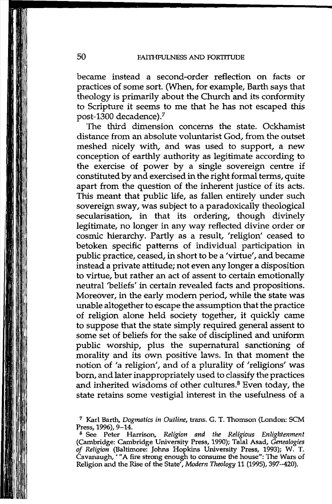became instead a second-order reflection on facts or practices of some sort. (When, for example, Barth says that theology is primarily about the Church and its conformity to Scripture it seems to me that he has not escaped this post-1300 decadence). <sup>7</sup>

The third dimension concerns the state. Ockhamist distance from an absolute voluntarist God, from the outset meshed nicely with, and was used to support, a new conception of earthly authority as legitimate according to the exercise of power by a single sovereign centre if constituted by and exercised in the right formal terms, quite apart from the question of the inherent justice of its acts. This meant that public life, as fallen entirely under such sovereign sway, was subject to a paradoxically theological secularisation, in that its ordering, though divinely legitimate, no longer in any way reflected divine order or cosmic hierarchy. Partly as a result, 'religion' ceased to betoken specific patterns of individual participation in public practice, ceased, in short to be a 'virtue', and became instead a private attitude; not even any longer a disposition to virtue, but rather an act of assent to certain emotionally neutral 'beliefs' in certain revealed facts and propositions. Moreover, in the early modern period, while the state was unable altogether to escape the assumption that the practice of religion alone held society together, it quickly came to suppose that the state simply required general assent to some set of beliefs for the sake of disciplined and uniform public worship, plus the supernatural sanctioning of morality and its own positive laws. In that moment the notion of 'a religion', and of a plurality of 'religions' was born, and later inappropriately used to classify the practices and inherited wisdoms of other cultures.<sup>8</sup> Even today, the state retains some vestigial interest in the usefulness of a

<sup>7</sup>Karl Barth, *Dogmatics in Outline,* trans. G. T. Thomson (London: SCM Press, 1996), 9-14.

<sup>8</sup>See Peter Harrison, *Religion and the Religious Enlightenment*  (Cambridge: Cambridge University Press, 1990); Talal Asad, *Genealogies of Religion* (Baltimore: Johns Hopkins University Press, 1993); W. T. Cavanaugh, '"Afire strong enough to consume the house": The Wars of Religion and the Rise of the State', *Modern Theology* 11 (1995), 397-420).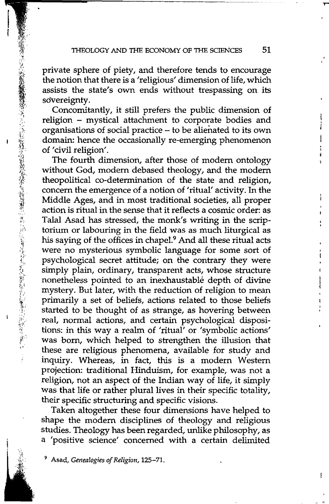,-

ŧ

private sphere of piety, and therefore tends to encourage the notion that there is a 'religious' dimension of life, which assists the state's own ends without trespassing on its sovereignty.

Concomitantly, it still prefers the public dimension of religion - mystical attachment to corporate bodies and organisations of social practice - to be alienated to its own domain: hence the occasionally re-emerging phenomenon of 'civil religion'.

 $\frac{1}{2}$ 

The fourth dimension, after those of modem ontology without God, modern debased theology, and the modem theopolitical co-determination of the state and religion, concern the emergence of a notion of 'ritual' activity. In the Middle Ages, and in most traditional societies, all proper action is ritual in the sense that it reflects a cosmic order: as Talal Asad has stressed, the monk's writing in the scriptorium or labouring in the field was as much liturgical as his saying of the offices in chapel.<sup>9</sup> And all these ritual acts were no mysterious symbolic language for some sort of psychological secret attitude; on the contrary they were simply plain, ordinary, transparent acts, whose structure nonetheless pointed to an inexhaustable depth of divine mystery. But later, with the reduction of religion to mean primarily a set of beliefs, actions related to those beliefs started to be thought of as strange, as hovering between real, normal actions, and certain psychological dispositions: in this way a realm of 'ritual' or 'symbolic actions' was born, which helped to strengthen the illusion that these are religious phenomena, available for study and inquiry. Whereas, in fact, this is a modern Western projection: traditional Hinduism, for example, was not a religion, not an aspect of the Indian way of life, it simply was that life or rather plural lives in their specific totality, their specific structuring and specific visions.

Taken altogether these four dimensions have helped to shape the modern disciplines of theology and religious studies. Theology has been regarded, unlike philosophy, as a 'positive science' concerned with a certain delimited

<sup>9</sup>Asad, *Genealogies of Religion,* 125-71.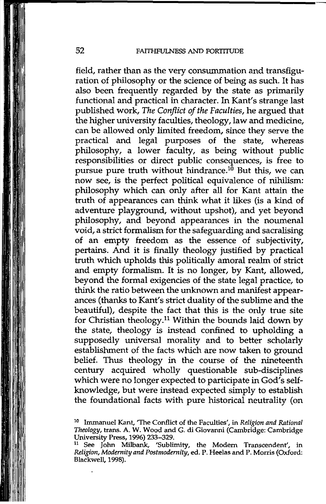field, rather than as the very consummation and transfiguration of philosophy or the science of being as such. It has also been frequently regarded by the state as primarily functional and practical in character. In Kant's strange last published work, *The Conflict of the Faculties,* he argued that the higher university faculties, theology, law and medicine, can be allowed only limited freedom, since they serve the practical and legal purposes of the state, whereas philosophy, a lower faculty, as being without public responsibilities or direct public consequences, is free to pursue pure truth without hindrance.<sup>10</sup> But this, we can now see, is the perfect political equivalence of nihilism: philosophy which can only after all for Kant attain the truth of appearances can think what it likes (is a kind of adventure playground, without upshot), and yet beyond philosophy, and beyond appearances in the noumenal void, a strict formalism for the safeguarding and sacralising of an empty freedom as the essence of subjectivity, pertains. And it is finally theology justified by practical truth which upholds this politically amoral realm of strict and empty formalism. It is no longer, by Kant, allowed, beyond the formal exigencies of the state legal practice, to think the ratio between the unknown and manifest appearances (thanks to Kant's strict duality of the sublime and the beautiful), despite the fact that this is the only true site for Christian theology.<sup>11</sup> Within the bounds laid down by the state, theology is instead confined to upholding a supposedly universal morality and to better scholarly establishment of the facts which are now taken to ground belief. Thus theology in the course of the nineteenth century acquired wholly questionable sub-discipline which were no longer expected to participate in God's selfknowledge, but were instead expected simply to establish the foundational facts with pure historical neutrality (on

<sup>10</sup> Immanuel Kant, 'The Conflict of the Faculties', in *Religion and Rational Theology,* trans. A. W. Wood and G. di Giovanni (Cambridge: Cambridge University Press, 1996) 233-329.

<sup>&</sup>lt;sup>11</sup> See John Milbank, 'Sublimity, the Modern Transcendent', in *Religion, Modernity and Postmodernity,* ed. P. Heelas and P. Morris (Oxford: Blackwell, 1998).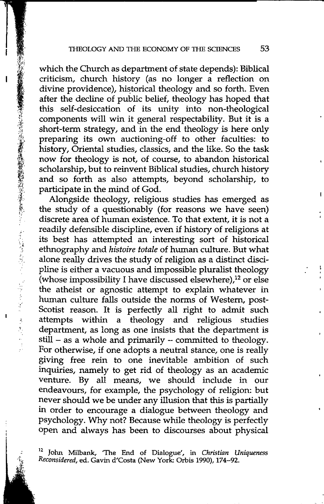which the Church as department of state depends): Biblical criticism, church history (as no longer a reflection on divine providence), historical theology and so forth. Even after the decline of public belief, theology has hoped that this self-desiccation of its unity into non-theological components will win it general respectability. But it is a short-term strategy, and in the end theology is here only preparing its own auctioning-off to other faculties: to history, Oriental studies, classics, and the like. So the task now for theology is not, of course, to abandon historical scholarship, but to reinvent Biblical studies, church history and so forth as also attempts, beyond scholarship, to participate in the mind of God.

.,.

Alongside theology, religious studies has emerged as the study of a questionably (for reasons we have seen) discrete area of human existence. To that extent, it is not a readily defensible discipline, even if history of religions at its best has attempted an interesting sort of historical ethnography and *histoire totale* of human culture. But what alone really drives the study of religion as a distinct discipline is either a vacuous and impossible pluralist theology (whose impossibility I have discussed elsewhere), 12 or else the atheist or agnostic attempt to explain whatever in human culture falls outside the norms of Western, post-Scotist reason. It is perfectly all right to admit such attempts within a theology and religious studies department, as long as one insists that the department is  $still - as a whole and primarily - committed to theology.$ For otherwise, if one adopts a neutral stance, one is really giving free rein to one inevitable ambition of such inquiries, namely to get rid of theology as an academic venture. By all means, we should include in our endeavours, for example, the psychology of religion: but never should we be under any illusion that this is partially in order to encourage a dialogue between theology and psychology. Why not? Because while theology is perfectly open and always has been to discourses about physical

12 John Milbank, 'The End of Dialogue', in *Christian Uniqueness Reconsidered,* ed. Gavin d'Costa (New York: Orbis 1990), 174-92.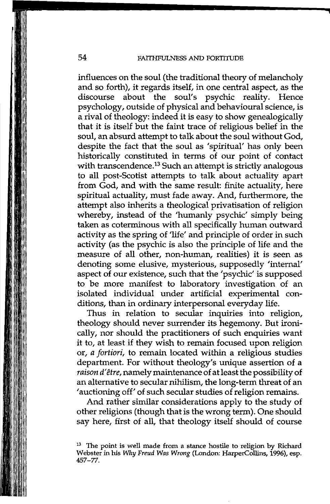#### 54 FAITHFULNESS AND FORTITUDE

influences on the soul (the traditional theory of melancholy and so forth), it regards itself, in one central aspect, as the discourse about the soul's psychic reality. Hence about the soul's psychic reality. Hence psychology, outside of physical and behavioural science, is a rival of theology: indeed it is easy to show genealogically that it is itself but the faint trace of religious belief in the soul, an absurd attempt to talk about the soul without God, despite the fact that the soul as 'spiritual' has only been historically constituted in terms of our point of contact with transcendence.<sup>13</sup> Such an attempt is strictly analogous to all post-Scotist attempts to talk about actuality apart from God, and with the same result: finite actuality, here spiritual actuality, must fade away. And, furthermore, the attempt also inherits a theological privatisation of religion whereby, instead of the 'humanly psychic' simply being taken as coterminous with all specifically human outward activity as the spring of 'life' and principle of order in such activity (as the psychic is also the principle of life and the measure of all other, non-human, realities) it is seen as denoting some elusive, mysterious, supposedly 'internal' aspect of our existence, such that the 'psychic' is supposed to be more manifest to laboratory investigation of an isolated individual under artificial experimental conditions, than in ordinary interpersonal everyday life.

Thus in relation to secular inquiries into religion, theology should never surrender its hegemony. But ironically, nor should the practitioners of such enquiries want it to, at least if they wish to remain focused upon religion or, *a fortiori,* to remain located within a religious studies department. For without theology's unique assertion of a *raison d'etre,* namely maintenance of at least the possibility of an alternative to secular nihilism, the long-term threat of an 'auctioning off' of such secular studies of religion remains.

And rather similar considerations apply to the study of other religions (though that is the wrong term). One should say here, first of all, that theology itself should of course

<sup>&</sup>lt;sup>13</sup> The point is well made from a stance hostile to religion by Richard Webster in his Why Freud Was Wrong (London: HarperCollins, 1996), esp. 457-77.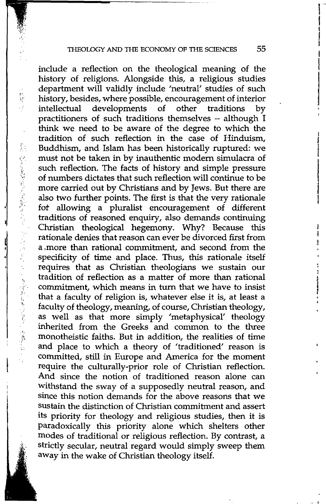$\frac{1}{2}$ 

уý.

I, 1,,, ·, '·

'/; ·,

include a reflection on the theological meaning of the history of religions. Alongside this, a religious studies department will validly include 'neutral' studies of such history, besides, where possible, encouragement of interior intellectual developments of other traditions by practitioners of such traditions themselves - although I think we need to be aware of the degree to which the tradition of such reflection in the case of Hinduism, Buddhism, and Islam has been historically ruptured: we must not be taken in by inauthentic modern simulacra of such reflection. The facts of history and simple pressure of numbers dictates that such reflection will continue to be more carried out by Christians and by Jews. But there are also two further points. The first is that the very rationale fot allowing a pluralist encouragement of different traditions of reasoned enquiry, also demands continuing Christian theological hegemony. Why? Because this rationale denies that reason can ever be divorced first from a .more than rational commitment, and second from the specificity of time and place. Thus, this rationale itself requires that as Christian theologians we sustain our tradition of reflection as a matter of more than rational commitment, which means in turn that we have to insist that a faculty of religion is, whatever else it is, at least a faculty of theology, meaning, of course, Christian theology, as well as that more simply 'metaphysical' theology inherited from the Greeks and common to the three monotheistic faiths. But in addition, the realities of time and place to which a theory of 'traditioned' reason is committed, still in Europe and America for the moment require the culturally-prior role of Christian reflection. And since the notion of traditioned reason alone can withstand the sway of a supposedly neutral reason, and since this notion demands for the above reasons that we sustain the distinction of Christian commitment and assert its priority for theology and religious studies, then it is paradoxically this priority alone which shelters other modes of traditional or religious reflection. By contrast, a strictly secular, neutral regard would simply sweep them away in the wake of Christian theology itself.

ii 1 l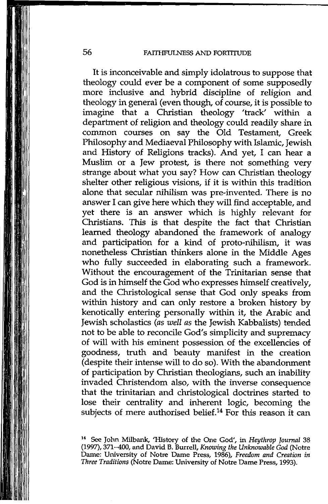#### 56 **FAITHFULNESS AND FORTITUDE**

It is inconceivable and simply idolatrous to suppose that theology could ever be a component of some supposedly more inclusive and hybrid discipline of religion and theology in general (even though, of course, it is possible to imagine that a Christian theology 'track' within a department of religion and theology could readily share in common courses on say the Old Testament, Greek Philosophy and Mediaeval Philosophy with Islamic, Jewish and History of Religions tracks). And yet, I can hear a Muslim or a Jew protest, is there not something very strange about what you say? How can Christian theology shelter other religious visions, if it is within this tradition alone that secular nihilism was pre-invented. There is no answer I can give here which they will find acceptable, and yet there is an answer which is highly relevant for Christians. This is that despite the fact that Christian learned theology abandoned the framework of analogy and participation for a kind of proto-nihilism, it was nonetheless Christian thinkers alone in the Middle Ages who fully succeeded in elaborating such a framework. Without the encouragement of the Trinitarian sense that God is in himself the God who expresses himself creatively, and the Christological sense that God only speaks from within history and can only restore a broken history by kenotically entering personally within it, the Arabic and Jewish scholastics (as *well as* the Jewish Kabbalists) tended not to be able to reconcile God's simplicity and supremacy of will with his eminent possession of the excellencies of goodness, truth and beauty manifest in the creation (despite their intense will to do so). With the abandonmer of participation by Christian theologians, such an inability invaded Christendom also, with the inverse consequence that the trinitarian and christological doctrines started to lose their centrality and inherent logic, becoming the subjects of mere authorised belief.<sup>14</sup> For this reason it can

<sup>&</sup>lt;sup>14</sup> See John Milbank, 'History of the One God', in *Heythrop Journal* 38 (1997), 371-400, and David B. Burrell, *Knowing the Unknowable God* (Notre Dame: University of Notre Dame Press, 1986), *Freedom and Creation in Three Traditions* (Notre Dame: University of Notre Dame Press, 1993).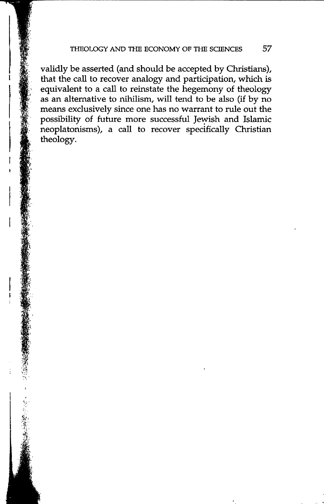## THEOLOGY AND THE ECONOMY OF THE SCIENCES 57

validly be asserted (and should be accepted by Christians), that the call to recover analogy and participation, which is equivalent to a call to reinstate the hegemony of theology as an alternative to nihilism, will tend to be also (if by no means exclusively since one has no warrant to rule out the possibility of future more successful Jewish and Islamic neoplatonisms), a call to recover specifically Christian theology.

 $\mathbf{r}$ 

 $^{\circ}$